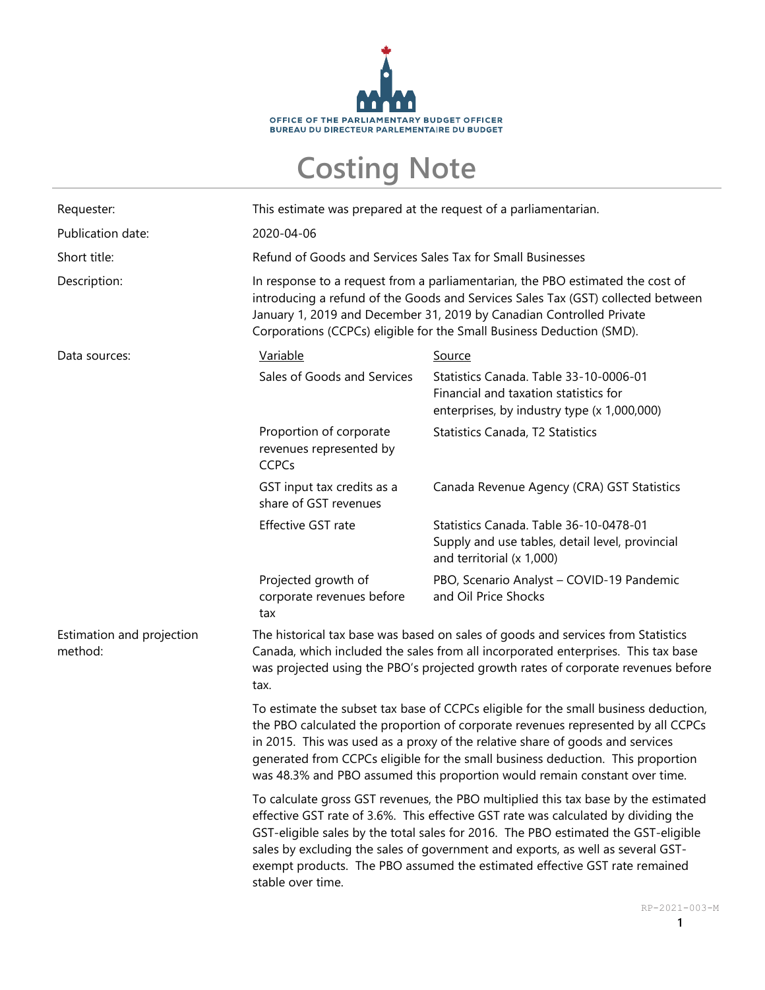

## **Costing Note**

| Requester:                           | This estimate was prepared at the request of a parliamentarian.                                                                                                                                                                                                                                                                                                                                                                                      |                                                                                                                                |
|--------------------------------------|------------------------------------------------------------------------------------------------------------------------------------------------------------------------------------------------------------------------------------------------------------------------------------------------------------------------------------------------------------------------------------------------------------------------------------------------------|--------------------------------------------------------------------------------------------------------------------------------|
| Publication date:                    | 2020-04-06                                                                                                                                                                                                                                                                                                                                                                                                                                           |                                                                                                                                |
| Short title:                         | Refund of Goods and Services Sales Tax for Small Businesses                                                                                                                                                                                                                                                                                                                                                                                          |                                                                                                                                |
| Description:                         | In response to a request from a parliamentarian, the PBO estimated the cost of<br>introducing a refund of the Goods and Services Sales Tax (GST) collected between<br>January 1, 2019 and December 31, 2019 by Canadian Controlled Private<br>Corporations (CCPCs) eligible for the Small Business Deduction (SMD).                                                                                                                                  |                                                                                                                                |
| Data sources:                        | Variable                                                                                                                                                                                                                                                                                                                                                                                                                                             | Source                                                                                                                         |
|                                      | Sales of Goods and Services                                                                                                                                                                                                                                                                                                                                                                                                                          | Statistics Canada. Table 33-10-0006-01<br>Financial and taxation statistics for<br>enterprises, by industry type (x 1,000,000) |
|                                      | Proportion of corporate<br>revenues represented by<br><b>CCPCs</b>                                                                                                                                                                                                                                                                                                                                                                                   | Statistics Canada, T2 Statistics                                                                                               |
|                                      | GST input tax credits as a<br>share of GST revenues                                                                                                                                                                                                                                                                                                                                                                                                  | Canada Revenue Agency (CRA) GST Statistics                                                                                     |
|                                      | Effective GST rate                                                                                                                                                                                                                                                                                                                                                                                                                                   | Statistics Canada. Table 36-10-0478-01<br>Supply and use tables, detail level, provincial<br>and territorial (x 1,000)         |
|                                      | Projected growth of<br>corporate revenues before<br>tax                                                                                                                                                                                                                                                                                                                                                                                              | PBO, Scenario Analyst - COVID-19 Pandemic<br>and Oil Price Shocks                                                              |
| Estimation and projection<br>method: | The historical tax base was based on sales of goods and services from Statistics<br>Canada, which included the sales from all incorporated enterprises. This tax base<br>was projected using the PBO's projected growth rates of corporate revenues before<br>tax.                                                                                                                                                                                   |                                                                                                                                |
|                                      | To estimate the subset tax base of CCPCs eligible for the small business deduction,<br>the PBO calculated the proportion of corporate revenues represented by all CCPCs<br>in 2015. This was used as a proxy of the relative share of goods and services<br>generated from CCPCs eligible for the small business deduction. This proportion<br>was 48.3% and PBO assumed this proportion would remain constant over time.                            |                                                                                                                                |
|                                      | To calculate gross GST revenues, the PBO multiplied this tax base by the estimated<br>effective GST rate of 3.6%. This effective GST rate was calculated by dividing the<br>GST-eligible sales by the total sales for 2016. The PBO estimated the GST-eligible<br>sales by excluding the sales of government and exports, as well as several GST-<br>exempt products. The PBO assumed the estimated effective GST rate remained<br>stable over time. |                                                                                                                                |